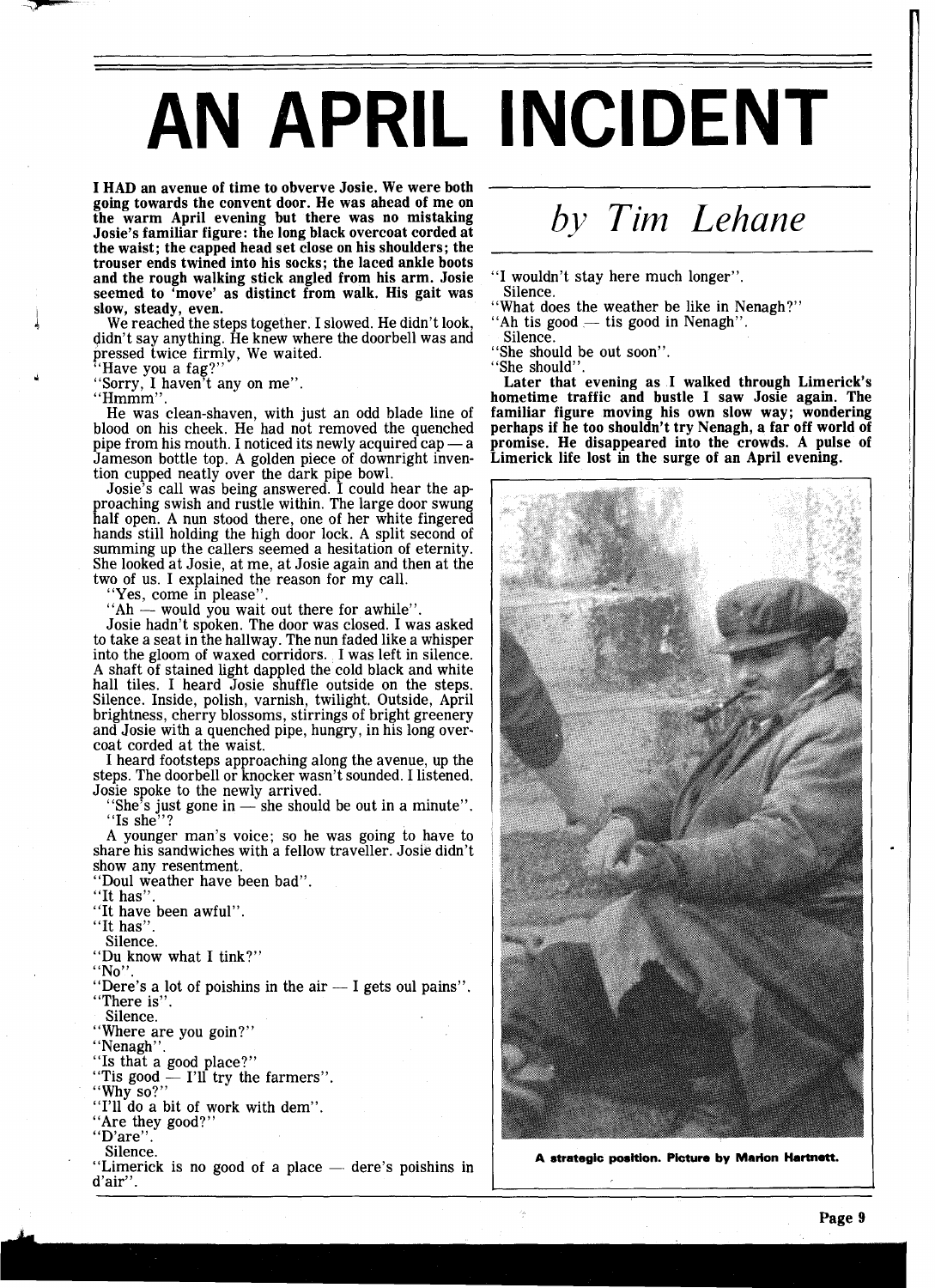## **AN APRIL INCIDENT**

**I HAD an avenue of time to obverve Josie. We were both going towards the convent door. He was ahead of me on the warm April evening but there was no mistaking Josie's familiar figure: the long black overcoat corded at the waist; the capped head set close on his shoulders; the trouser ends twined into his socks; the laced ankle boots and the rough walking stick angled from his arm. Josie seemed to 'move' as distinct from walk. His gait was**  slow, steady, even.

We reached the steps together. I slowed. He didn't look, didn't say anything. He knew where the doorbell was and pressed twice firmly, We waited.

 $\ddot{\textbf{u}}$   $\text{``Have you a fag?''}$ 

"Sorry, 1 haven't any on me".

"Hmmm".

He was clean-shaven, with just an odd blade line of blood on his cheek. He had not removed the quenched He was clean-shaven, with just an odd blade line of blood on his cheek. He had not removed the quenched pipe from his mouth. I noticed its newly acquired cap  $-a$  and  $b$  and  $b$  and  $c$  and  $d$  and  $b$  and  $c$  and  $d$  and Jameson bottle top. A golden piece of downright invention cupped neatly over the dark pipe bowl. meson bottle top. A golden piece of downright inven-<br>on cupped neatly over the dark pipe bowl.<br>Josie's call was being answered. I could hear the ap-

proaching swish and rustle within. The large door swung half open. A nun stood there, one of her white fingered hands still holding the high door lock. **A** split second of summing up the callers seemed a hesitation of eternity. She looked at Josie, at me, at Josie again and then at the two of us. I explained the reason for my call.

"Yes, come in please"

"Ah - would you wait out there for awhile".

Josie hadn't spoken. The door was closed. I was asked to take a seat in the hallway. The nun faded like a whisper into the gloom of waxed corridors. I was left in silence. A shaft of stained light dappled the cold black and white hall tiles. I heard Josie shuffle outside on the steps. Silence. Inside, polish, varnish, twilight. Outside, April brightness, cherry blossoms, stirrings of bright greenery and Josie with a quenched pipe, hungry, in his long overcoat corded at the waist.

I heard footsteps approaching along the avenue, up the steps. The doorbell or knocker wasn't sounded. I listened. Josie spoke to the newly arrived.

"She's just gone in  $-$  she should be out in a minute". "Is she"

**A** younger man's voice; so he was going to have to share his sandwiches with a fellow traveller. Josie didn't show any resentment.

"Doul weather have been bad".

"It has"

"It have been awful".

"It has".

Silence.

"Du know what I tink?"

"No".

"Dere's a lot of poishins in the air  $-$  I gets oul pains". "There is".

Silence.

"Where are you goin?"<br>"Nenagh".

"Is that a good place?"

"Tis good  $\frac{6}{1}$  I'll try the farmers".

"Why so?"

"I'll do a bit of work with dem".

"Are they good?"

"D'are".<br>Silence.

"Limerick is no good of a place  $-$  dere's poishins in d'air".

## *by Tim Lehane*

"I wouldn't stay here much longer". -

Silence. Silence.<br>"What does the weather be like in Nenagh".<br>"Ah tis good — tis good in Nenagh".

- "What does the weather be like in Nenagh?"
- 

Silence.

"She should be out soon".

"She should".

**Later that evening as I walked through Limerick's hometime traffic and bustle I saw Josie again. The familiar figure moving his own slow way; wondering perhaps if he too shouldn't try Nenagh, a far off world of promise. He disappeared into the crowds. A pulse of Limerick life lost in the surge of an April evening.** 



**A strategic position. Picture by Marion Hartnett.**